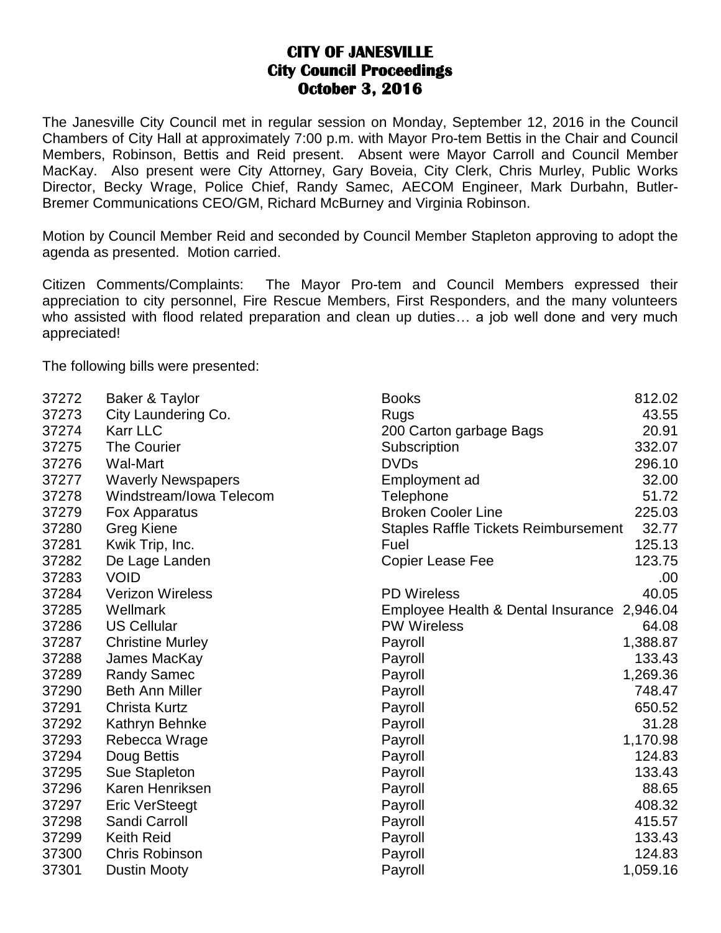## **CITY OF JANESVILLE City Council Proceedings October 3, 2016**

The Janesville City Council met in regular session on Monday, September 12, 2016 in the Council Chambers of City Hall at approximately 7:00 p.m. with Mayor Pro-tem Bettis in the Chair and Council Members, Robinson, Bettis and Reid present. Absent were Mayor Carroll and Council Member MacKay. Also present were City Attorney, Gary Boveia, City Clerk, Chris Murley, Public Works Director, Becky Wrage, Police Chief, Randy Samec, AECOM Engineer, Mark Durbahn, Butler-Bremer Communications CEO/GM, Richard McBurney and Virginia Robinson.

Motion by Council Member Reid and seconded by Council Member Stapleton approving to adopt the agenda as presented. Motion carried.

Citizen Comments/Complaints: The Mayor Pro-tem and Council Members expressed their appreciation to city personnel, Fire Rescue Members, First Responders, and the many volunteers who assisted with flood related preparation and clean up duties... a job well done and very much appreciated!

The following bills were presented:

| 37272 | Baker & Taylor            | <b>Books</b>                                | 812.02   |
|-------|---------------------------|---------------------------------------------|----------|
| 37273 | City Laundering Co.       | Rugs                                        | 43.55    |
| 37274 | <b>Karr LLC</b>           | 200 Carton garbage Bags                     | 20.91    |
| 37275 | <b>The Courier</b>        | Subscription                                | 332.07   |
| 37276 | <b>Wal-Mart</b>           | <b>DVDs</b>                                 | 296.10   |
| 37277 | <b>Waverly Newspapers</b> | Employment ad                               | 32.00    |
| 37278 | Windstream/Iowa Telecom   | Telephone                                   | 51.72    |
| 37279 | Fox Apparatus             | <b>Broken Cooler Line</b>                   | 225.03   |
| 37280 | <b>Greg Kiene</b>         | <b>Staples Raffle Tickets Reimbursement</b> | 32.77    |
| 37281 | Kwik Trip, Inc.           | Fuel                                        | 125.13   |
| 37282 | De Lage Landen            | <b>Copier Lease Fee</b>                     | 123.75   |
| 37283 | <b>VOID</b>               |                                             | .00      |
| 37284 | <b>Verizon Wireless</b>   | <b>PD Wireless</b>                          | 40.05    |
| 37285 | Wellmark                  | Employee Health & Dental Insurance 2,946.04 |          |
| 37286 | <b>US Cellular</b>        | <b>PW Wireless</b>                          | 64.08    |
| 37287 | <b>Christine Murley</b>   | Payroll                                     | 1,388.87 |
| 37288 | James MacKay              | Payroll                                     | 133.43   |
| 37289 | <b>Randy Samec</b>        | Payroll                                     | 1,269.36 |
| 37290 | <b>Beth Ann Miller</b>    | Payroll                                     | 748.47   |
| 37291 | <b>Christa Kurtz</b>      | Payroll                                     | 650.52   |
| 37292 | Kathryn Behnke            | Payroll                                     | 31.28    |
| 37293 | Rebecca Wrage             | Payroll                                     | 1,170.98 |
| 37294 | Doug Bettis               | Payroll                                     | 124.83   |
| 37295 | Sue Stapleton             | Payroll                                     | 133.43   |
| 37296 | Karen Henriksen           | Payroll                                     | 88.65    |
| 37297 | <b>Eric VerSteegt</b>     | Payroll                                     | 408.32   |
| 37298 | Sandi Carroll             | Payroll                                     | 415.57   |
| 37299 | <b>Keith Reid</b>         | Payroll                                     | 133.43   |
| 37300 | <b>Chris Robinson</b>     | Payroll                                     | 124.83   |
| 37301 | <b>Dustin Mooty</b>       | Payroll                                     | 1,059.16 |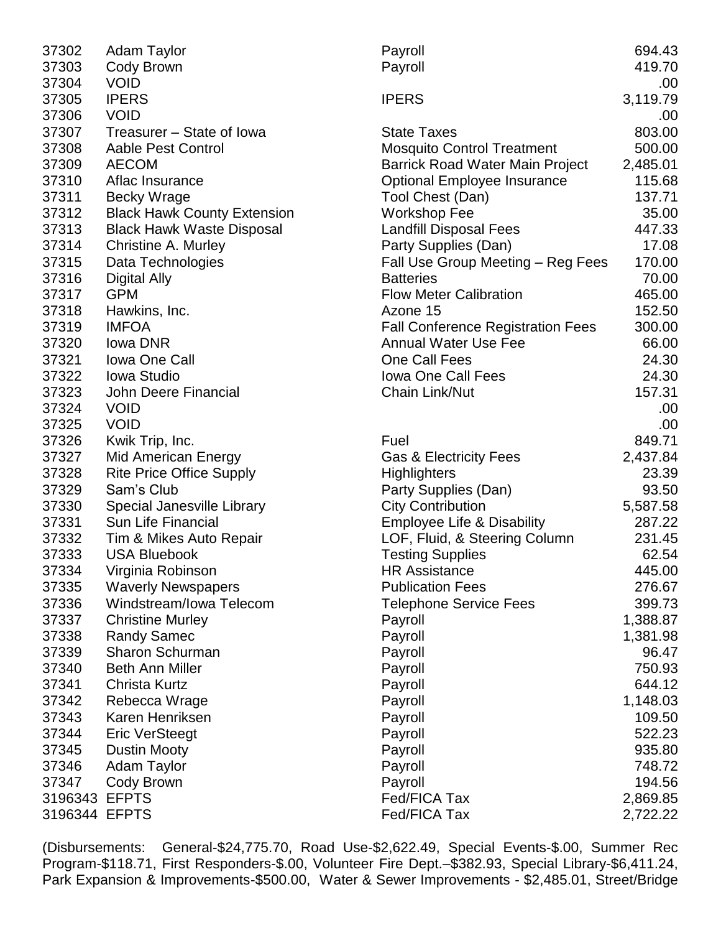| 37302         | <b>Adam Taylor</b>                 | Payroll                                  | 694.43   |
|---------------|------------------------------------|------------------------------------------|----------|
| 37303         | Cody Brown                         | Payroll                                  | 419.70   |
| 37304         | <b>VOID</b>                        |                                          | .00      |
| 37305         | <b>IPERS</b>                       | <b>IPERS</b>                             | 3,119.79 |
| 37306         | <b>VOID</b>                        |                                          | .00      |
| 37307         | Treasurer - State of Iowa          | <b>State Taxes</b>                       | 803.00   |
| 37308         | Aable Pest Control                 | <b>Mosquito Control Treatment</b>        | 500.00   |
| 37309         | <b>AECOM</b>                       | Barrick Road Water Main Project          | 2,485.01 |
| 37310         | Aflac Insurance                    | <b>Optional Employee Insurance</b>       | 115.68   |
| 37311         | <b>Becky Wrage</b>                 | Tool Chest (Dan)                         | 137.71   |
| 37312         | <b>Black Hawk County Extension</b> | <b>Workshop Fee</b>                      | 35.00    |
| 37313         | <b>Black Hawk Waste Disposal</b>   | <b>Landfill Disposal Fees</b>            | 447.33   |
| 37314         | Christine A. Murley                | Party Supplies (Dan)                     | 17.08    |
| 37315         | Data Technologies                  | Fall Use Group Meeting - Reg Fees        | 170.00   |
| 37316         | Digital Ally                       | <b>Batteries</b>                         | 70.00    |
| 37317         | <b>GPM</b>                         | <b>Flow Meter Calibration</b>            | 465.00   |
| 37318         | Hawkins, Inc.                      | Azone 15                                 | 152.50   |
| 37319         | <b>IMFOA</b>                       | <b>Fall Conference Registration Fees</b> | 300.00   |
| 37320         | lowa DNR                           | <b>Annual Water Use Fee</b>              | 66.00    |
| 37321         | <b>Iowa One Call</b>               | One Call Fees                            | 24.30    |
| 37322         | <b>Iowa Studio</b>                 | <b>Iowa One Call Fees</b>                | 24.30    |
| 37323         | John Deere Financial               | Chain Link/Nut                           | 157.31   |
| 37324         | <b>VOID</b>                        |                                          | .00      |
| 37325         | <b>VOID</b>                        |                                          | .00      |
| 37326         | Kwik Trip, Inc.                    | Fuel                                     | 849.71   |
| 37327         | <b>Mid American Energy</b>         | <b>Gas &amp; Electricity Fees</b>        | 2,437.84 |
| 37328         | <b>Rite Price Office Supply</b>    | <b>Highlighters</b>                      | 23.39    |
| 37329         | Sam's Club                         | Party Supplies (Dan)                     | 93.50    |
| 37330         | Special Janesville Library         | <b>City Contribution</b>                 | 5,587.58 |
| 37331         | Sun Life Financial                 | <b>Employee Life &amp; Disability</b>    | 287.22   |
| 37332         | Tim & Mikes Auto Repair            | LOF, Fluid, & Steering Column            | 231.45   |
| 37333         | <b>USA Bluebook</b>                | <b>Testing Supplies</b>                  | 62.54    |
| 37334         | Virginia Robinson                  | <b>HR Assistance</b>                     | 445.00   |
| 37335         | <b>Waverly Newspapers</b>          | <b>Publication Fees</b>                  | 276.67   |
| 37336         | Windstream/Iowa Telecom            | <b>Telephone Service Fees</b>            | 399.73   |
| 37337         | <b>Christine Murley</b>            | Payroll                                  | 1,388.87 |
| 37338         | <b>Randy Samec</b>                 | Payroll                                  | 1,381.98 |
| 37339         | <b>Sharon Schurman</b>             | Payroll                                  | 96.47    |
| 37340         | <b>Beth Ann Miller</b>             | Payroll                                  | 750.93   |
| 37341         | <b>Christa Kurtz</b>               | Payroll                                  | 644.12   |
| 37342         | Rebecca Wrage                      | Payroll                                  | 1,148.03 |
| 37343         | Karen Henriksen                    | Payroll                                  | 109.50   |
| 37344         | <b>Eric VerSteegt</b>              | Payroll                                  | 522.23   |
| 37345         | <b>Dustin Mooty</b>                | Payroll                                  | 935.80   |
| 37346         | <b>Adam Taylor</b>                 | Payroll                                  | 748.72   |
| 37347         | Cody Brown                         | Payroll                                  | 194.56   |
| 3196343 EFPTS |                                    | Fed/FICA Tax                             | 2,869.85 |
| 3196344 EFPTS |                                    | Fed/FICA Tax                             | 2,722.22 |

(Disbursements: General-\$24,775.70, Road Use-\$2,622.49, Special Events-\$.00, Summer Rec Program-\$118.71, First Responders-\$.00, Volunteer Fire Dept.–\$382.93, Special Library-\$6,411.24, Park Expansion & Improvements-\$500.00, Water & Sewer Improvements - \$2,485.01, Street/Bridge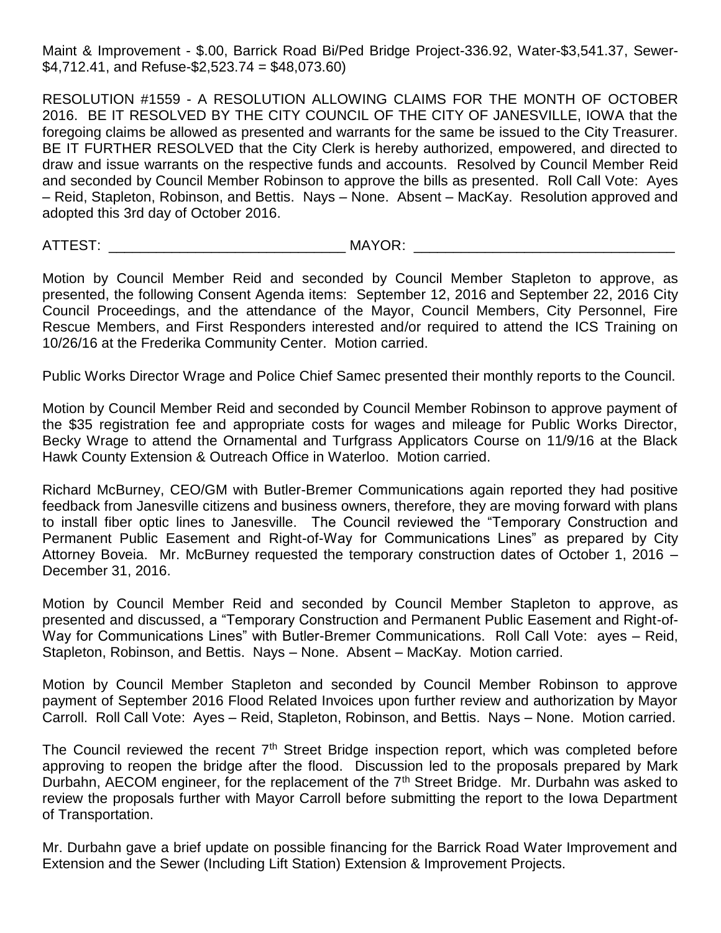Maint & Improvement - \$.00, Barrick Road Bi/Ped Bridge Project-336.92, Water-\$3,541.37, Sewer-  $$4,712.41$ , and Refuse- $$2,523.74 = $48,073.60$ 

RESOLUTION #1559 - A RESOLUTION ALLOWING CLAIMS FOR THE MONTH OF OCTOBER 2016. BE IT RESOLVED BY THE CITY COUNCIL OF THE CITY OF JANESVILLE, IOWA that the foregoing claims be allowed as presented and warrants for the same be issued to the City Treasurer. BE IT FURTHER RESOLVED that the City Clerk is hereby authorized, empowered, and directed to draw and issue warrants on the respective funds and accounts. Resolved by Council Member Reid and seconded by Council Member Robinson to approve the bills as presented. Roll Call Vote: Ayes – Reid, Stapleton, Robinson, and Bettis. Nays – None. Absent – MacKay. Resolution approved and adopted this 3rd day of October 2016.

ATTEST: \_\_\_\_\_\_\_\_\_\_\_\_\_\_\_\_\_\_\_\_\_\_\_\_\_\_\_\_\_\_ MAYOR: \_\_\_\_\_\_\_\_\_\_\_\_\_\_\_\_\_\_\_\_\_\_\_\_\_\_\_\_\_\_\_\_\_

Motion by Council Member Reid and seconded by Council Member Stapleton to approve, as presented, the following Consent Agenda items: September 12, 2016 and September 22, 2016 City Council Proceedings, and the attendance of the Mayor, Council Members, City Personnel, Fire Rescue Members, and First Responders interested and/or required to attend the ICS Training on 10/26/16 at the Frederika Community Center. Motion carried.

Public Works Director Wrage and Police Chief Samec presented their monthly reports to the Council.

Motion by Council Member Reid and seconded by Council Member Robinson to approve payment of the \$35 registration fee and appropriate costs for wages and mileage for Public Works Director, Becky Wrage to attend the Ornamental and Turfgrass Applicators Course on 11/9/16 at the Black Hawk County Extension & Outreach Office in Waterloo. Motion carried.

Richard McBurney, CEO/GM with Butler-Bremer Communications again reported they had positive feedback from Janesville citizens and business owners, therefore, they are moving forward with plans to install fiber optic lines to Janesville. The Council reviewed the "Temporary Construction and Permanent Public Easement and Right-of-Way for Communications Lines" as prepared by City Attorney Boveia. Mr. McBurney requested the temporary construction dates of October 1, 2016 – December 31, 2016.

Motion by Council Member Reid and seconded by Council Member Stapleton to approve, as presented and discussed, a "Temporary Construction and Permanent Public Easement and Right-of-Way for Communications Lines" with Butler-Bremer Communications. Roll Call Vote: ayes – Reid, Stapleton, Robinson, and Bettis. Nays – None. Absent – MacKay. Motion carried.

Motion by Council Member Stapleton and seconded by Council Member Robinson to approve payment of September 2016 Flood Related Invoices upon further review and authorization by Mayor Carroll. Roll Call Vote: Ayes – Reid, Stapleton, Robinson, and Bettis. Nays – None. Motion carried.

The Council reviewed the recent  $7<sup>th</sup>$  Street Bridge inspection report, which was completed before approving to reopen the bridge after the flood. Discussion led to the proposals prepared by Mark Durbahn, AECOM engineer, for the replacement of the  $7<sup>th</sup>$  Street Bridge. Mr. Durbahn was asked to review the proposals further with Mayor Carroll before submitting the report to the Iowa Department of Transportation.

Mr. Durbahn gave a brief update on possible financing for the Barrick Road Water Improvement and Extension and the Sewer (Including Lift Station) Extension & Improvement Projects.